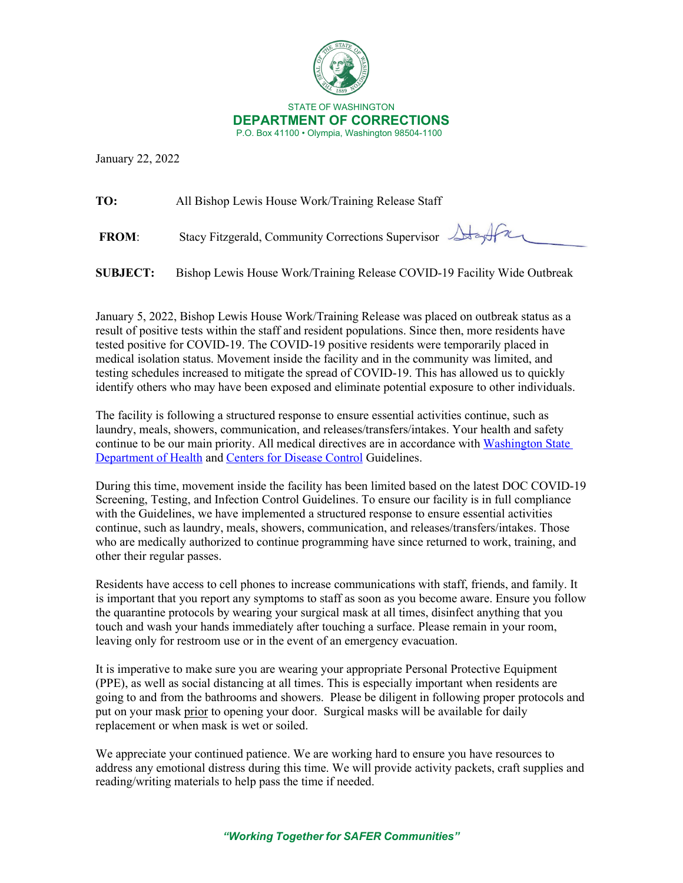

January 22, 2022

**TO:** All Bishop Lewis House Work/Training Release Staff

**FROM:** Stacy Fitzgerald, Community Corrections Supervisor Ata

**SUBJECT:** Bishop Lewis House Work/Training Release COVID-19 Facility Wide Outbreak

January 5, 2022, Bishop Lewis House Work/Training Release was placed on outbreak status as a result of positive tests within the staff and resident populations. Since then, more residents have tested positive for COVID-19. The COVID-19 positive residents were temporarily placed in medical isolation status. Movement inside the facility and in the community was limited, and testing schedules increased to mitigate the spread of COVID-19. This has allowed us to quickly identify others who may have been exposed and eliminate potential exposure to other individuals.

The facility is following a structured response to ensure essential activities continue, such as laundry, meals, showers, communication, and releases/transfers/intakes. Your health and safety continue to be our main priority. All medical directives are in accordance with [Washington State](https://www.doh.wa.gov/Emergencies/COVID19)  [Department of](https://www.doh.wa.gov/Emergencies/COVID19) Health and [Centers for Disease Control](https://www.cdc.gov/coronavirus/2019-nCoV/index.html) Guidelines.

During this time, movement inside the facility has been limited based on the latest DOC COVID-19 Screening, Testing, and Infection Control Guidelines. To ensure our facility is in full compliance with the Guidelines, we have implemented a structured response to ensure essential activities continue, such as laundry, meals, showers, communication, and releases/transfers/intakes. Those who are medically authorized to continue programming have since returned to work, training, and other their regular passes.

Residents have access to cell phones to increase communications with staff, friends, and family. It is important that you report any symptoms to staff as soon as you become aware. Ensure you follow the quarantine protocols by wearing your surgical mask at all times, disinfect anything that you touch and wash your hands immediately after touching a surface. Please remain in your room, leaving only for restroom use or in the event of an emergency evacuation.

It is imperative to make sure you are wearing your appropriate Personal Protective Equipment (PPE), as well as social distancing at all times. This is especially important when residents are going to and from the bathrooms and showers. Please be diligent in following proper protocols and put on your mask prior to opening your door. Surgical masks will be available for daily replacement or when mask is wet or soiled.

We appreciate your continued patience. We are working hard to ensure you have resources to address any emotional distress during this time. We will provide activity packets, craft supplies and reading/writing materials to help pass the time if needed.